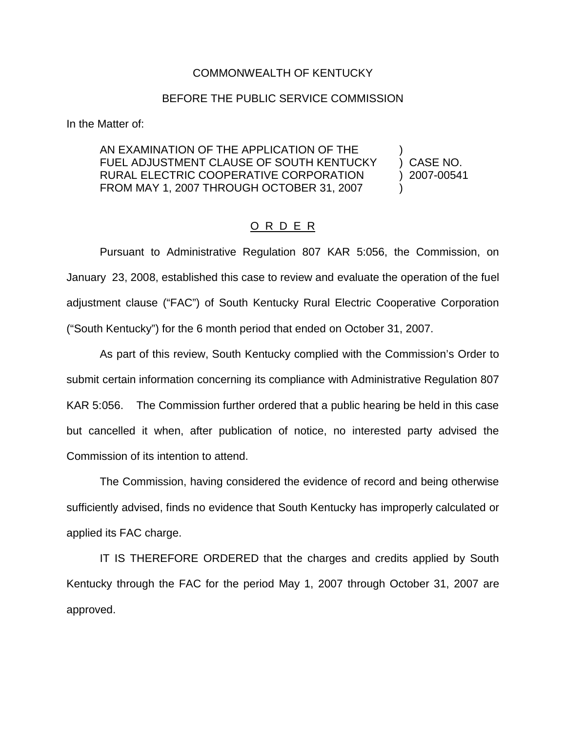## COMMONWEALTH OF KENTUCKY

## BEFORE THE PUBLIC SERVICE COMMISSION

In the Matter of:

AN EXAMINATION OF THE APPLICATION OF THE FUEL ADJUSTMENT CLAUSE OF SOUTH KENTUCKY ) CASE NO. RURAL ELECTRIC COOPERATIVE CORPORATION ) 2007-00541 FROM MAY 1, 2007 THROUGH OCTOBER 31, 2007

## O R D E R

Pursuant to Administrative Regulation 807 KAR 5:056, the Commission, on January 23, 2008, established this case to review and evaluate the operation of the fuel adjustment clause ("FAC") of South Kentucky Rural Electric Cooperative Corporation ("South Kentucky") for the 6 month period that ended on October 31, 2007.

As part of this review, South Kentucky complied with the Commission's Order to submit certain information concerning its compliance with Administrative Regulation 807 KAR 5:056. The Commission further ordered that a public hearing be held in this case but cancelled it when, after publication of notice, no interested party advised the Commission of its intention to attend.

The Commission, having considered the evidence of record and being otherwise sufficiently advised, finds no evidence that South Kentucky has improperly calculated or applied its FAC charge.

IT IS THEREFORE ORDERED that the charges and credits applied by South Kentucky through the FAC for the period May 1, 2007 through October 31, 2007 are approved.